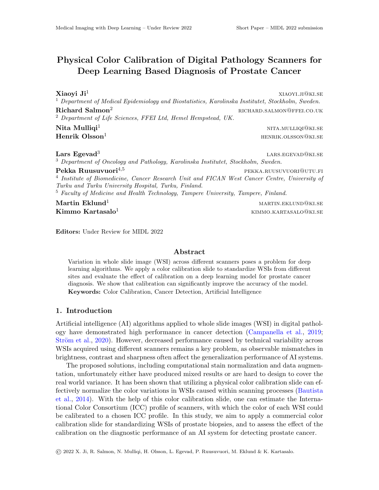# Physical Color Calibration of Digital Pathology Scanners for Deep Learning Based Diagnosis of Prostate Cancer

 $Xi$ aoyi $Ji^1$  xiaoyi.ji@ki.se <sup>1</sup> Department of Medical Epidemiology and Biostatistics, Karolinska Institutet, Stockholm, Sweden.  $\bf{Richard\ Salmon^2}$  richard  $\bf{Salmon^2}$  richard.salmon@ffeed.co.uk <sup>2</sup> Department of Life Sciences, FFEI Ltd, Hemel Hempstead, UK. **Nita Mulliqi**<sup>1</sup> nita.mulliqidha nita.mulliqidha nita.mulliqidha nita.mulliqidha nita.mulliqidha nita.mulliqidha nita.mulliqidha nita.mulliqidha nita.mulliqidha nita.mulliqidha nita.mulliqidha nita.mulliqidha nita.mulliqi  $\rm{Henrik\;Olsson}^1$  henrik.olsson@ki.se

Lars Egevad<sup>3</sup>

lars.egevad@ki.se

<sup>3</sup> Department of Oncology and Pathology, Karolinska Institutet, Stockholm, Sweden.  $\textbf{Pekka Ruusuvuori}^{4,5}$  pekka.ruusuvuori@utu.fi <sup>4</sup> Institute of Biomedicine, Cancer Research Unit and FICAN West Cancer Centre, University of Turku and Turku University Hospital, Turku, Finland. <sup>5</sup> Faculty of Medicine and Health Technology, Tampere University, Tampere, Finland.

**Martin Eklund**<sup>1</sup> martin.eklunden martin.eklunden martin.eklunden martin.eklunden martin.eklunden martin.ek

 ${\bf Kimmo\, Kartasalo^1}$  kimmo.kartasalo<sup>1</sup>

Editors: Under Review for MIDL 2022

# Abstract

Variation in whole slide image (WSI) across different scanners poses a problem for deep learning algorithms. We apply a color calibration slide to standardize WSIs from different sites and evaluate the effect of calibration on a deep learning model for prostate cancer diagnosis. We show that calibration can significantly improve the accuracy of the model. Keywords: Color Calibration, Cancer Detection, Artificial Intelligence

## 1. Introduction

Artificial intelligence (AI) algorithms applied to whole slide images (WSI) in digital pathology have demonstrated high performance in cancer detection [\(Campanella et al.,](#page-2-0) [2019;](#page-2-0) Ström et al., [2020\)](#page-2-1). However, decreased performance caused by technical variability across WSIs acquired using different scanners remains a key problem, as observable mismatches in brightness, contrast and sharpness often affect the generalization performance of AI systems.

The proposed solutions, including computational stain normalization and data augmentation, unfortunately either have produced mixed results or are hard to design to cover the real world variance. It has been shown that utilizing a physical color calibration slide can effectively normalize the color variations in WSIs caused within scanning processes [\(Bautista](#page-2-2) [et al.,](#page-2-2) [2014\)](#page-2-2). With the help of this color calibration slide, one can estimate the International Color Consortium (ICC) profile of scanners, with which the color of each WSI could be calibrated to a chosen ICC profile. In this study, we aim to apply a commercial color calibration slide for standardizing WSIs of prostate biopsies, and to assess the effect of the calibration on the diagnostic performance of an AI system for detecting prostate cancer.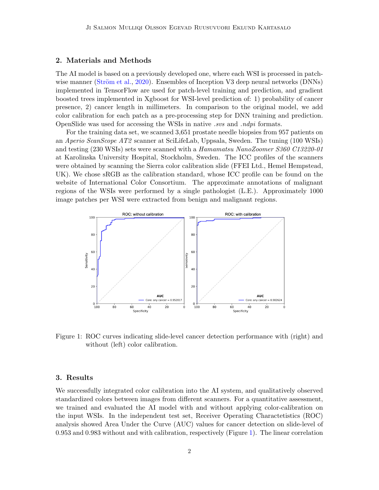# 2. Materials and Methods

The AI model is based on a previously developed one, where each WSI is processed in patch-wise manner (Ström et al., [2020\)](#page-2-1). Ensembles of Inception V3 deep neural networks (DNNs) implemented in TensorFlow are used for patch-level training and prediction, and gradient boosted trees implemented in Xgboost for WSI-level prediction of: 1) probability of cancer presence, 2) cancer length in millimeters. In comparison to the original model, we add color calibration for each patch as a pre-processing step for DNN training and prediction. OpenSlide was used for accessing the WSIs in native *svs* and *ndpi* formats.

For the training data set, we scanned 3,651 prostate needle biopsies from 957 patients on an Aperio ScanScope AT2 scanner at SciLifeLab, Uppsala, Sweden. The tuning (100 WSIs) and testing (230 WSIs) sets were scanned with a Hamamatsu NanoZoomer S360 C13220-01 at Karolinska University Hospital, Stockholm, Sweden. The ICC profiles of the scanners were obtained by scanning the Sierra color calibration slide (FFEI Ltd., Hemel Hempstead, UK). We chose sRGB as the calibration standard, whose ICC profile can be found on the website of International Color Consortium. The approximate annotations of malignant regions of the WSIs were performed by a single pathologist (L.E.). Approximately 1000 image patches per WSI were extracted from benign and malignant regions.



<span id="page-1-0"></span>Figure 1: ROC curves indicating slide-level cancer detection performance with (right) and without (left) color calibration.

### 3. Results

We successfully integrated color calibration into the AI system, and qualitatively observed standardized colors between images from different scanners. For a quantitative assessment, we trained and evaluated the AI model with and without applying color-calibration on the input WSIs. In the independent test set, Receiver Operating Charactetistics (ROC) analysis showed Area Under the Curve (AUC) values for cancer detection on slide-level of 0.953 and 0.983 without and with calibration, respectively (Figure [1\)](#page-1-0). The linear correlation